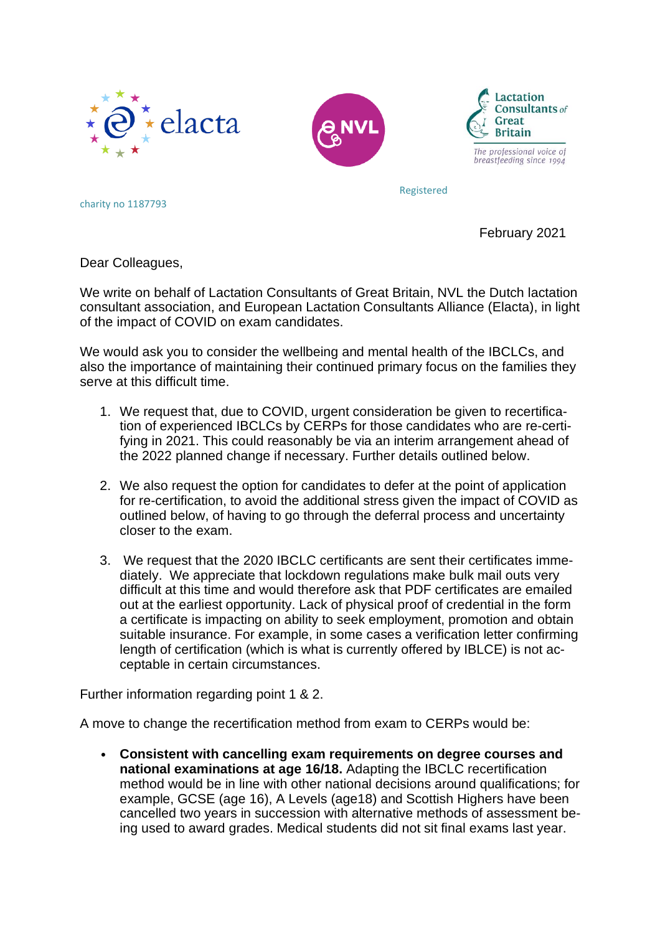





The professional voice of breastfeeding since 1994

Registered

charity no 1187793

February 2021

Dear Colleagues,

We write on behalf of Lactation Consultants of Great Britain, NVL the Dutch lactation consultant association, and European Lactation Consultants Alliance (Elacta), in light of the impact of COVID on exam candidates.

We would ask you to consider the wellbeing and mental health of the IBCLCs, and also the importance of maintaining their continued primary focus on the families they serve at this difficult time.

- 1. We request that, due to COVID, urgent consideration be given to recertification of experienced IBCLCs by CERPs for those candidates who are re-certifying in 2021. This could reasonably be via an interim arrangement ahead of the 2022 planned change if necessary. Further details outlined below.
- 2. We also request the option for candidates to defer at the point of application for re-certification, to avoid the additional stress given the impact of COVID as outlined below, of having to go through the deferral process and uncertainty closer to the exam.
- 3. We request that the 2020 IBCLC certificants are sent their certificates immediately. We appreciate that lockdown regulations make bulk mail outs very difficult at this time and would therefore ask that PDF certificates are emailed out at the earliest opportunity. Lack of physical proof of credential in the form a certificate is impacting on ability to seek employment, promotion and obtain suitable insurance. For example, in some cases a verification letter confirming length of certification (which is what is currently offered by IBLCE) is not acceptable in certain circumstances.

Further information regarding point 1 & 2.

A move to change the recertification method from exam to CERPs would be:

• **Consistent with cancelling exam requirements on degree courses and national examinations at age 16/18.** Adapting the IBCLC recertification method would be in line with other national decisions around qualifications; for example, GCSE (age 16), A Levels (age18) and Scottish Highers have been cancelled two years in succession with alternative methods of assessment being used to award grades. Medical students did not sit final exams last year.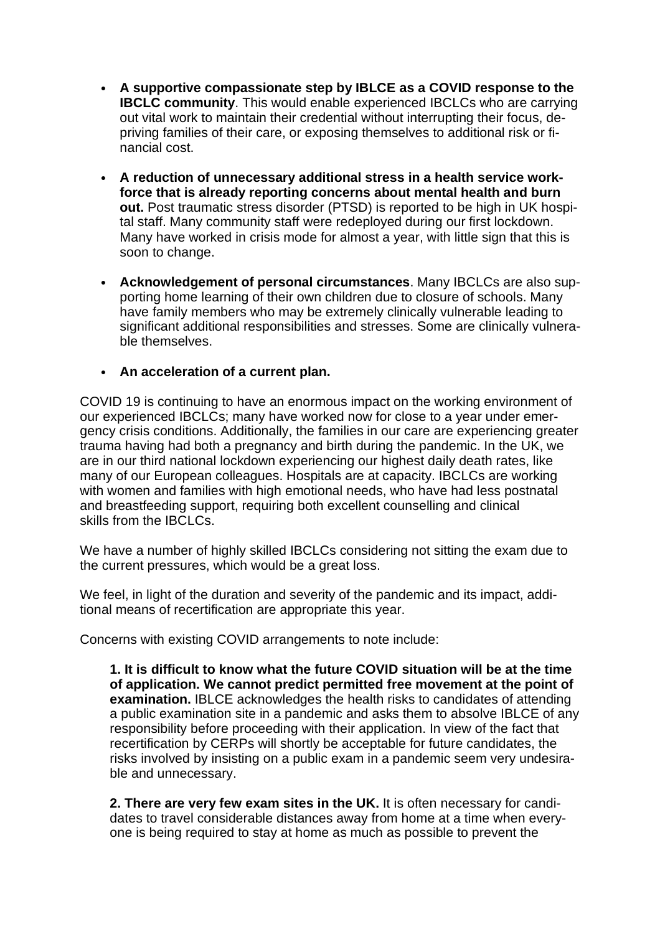- **A supportive compassionate step by IBLCE as a COVID response to the IBCLC community**. This would enable experienced IBCLCs who are carrying out vital work to maintain their credential without interrupting their focus, depriving families of their care, or exposing themselves to additional risk or financial cost.
- **A reduction of unnecessary additional stress in a health service workforce that is already reporting concerns about mental health and burn out.** Post traumatic stress disorder (PTSD) is reported to be high in UK hospital staff. Many community staff were redeployed during our first lockdown. Many have worked in crisis mode for almost a year, with little sign that this is soon to change.
- **Acknowledgement of personal circumstances**. Many IBCLCs are also supporting home learning of their own children due to closure of schools. Many have family members who may be extremely clinically vulnerable leading to significant additional responsibilities and stresses. Some are clinically vulnerable themselves.
- **An acceleration of a current plan.**

COVID 19 is continuing to have an enormous impact on the working environment of our experienced IBCLCs; many have worked now for close to a year under emergency crisis conditions. Additionally, the families in our care are experiencing greater trauma having had both a pregnancy and birth during the pandemic. In the UK, we are in our third national lockdown experiencing our highest daily death rates, like many of our European colleagues. Hospitals are at capacity. IBCLCs are working with women and families with high emotional needs, who have had less postnatal and breastfeeding support, requiring both excellent counselling and clinical skills from the IBCLCs.

We have a number of highly skilled IBCLCs considering not sitting the exam due to the current pressures, which would be a great loss.

We feel, in light of the duration and severity of the pandemic and its impact, additional means of recertification are appropriate this year.

Concerns with existing COVID arrangements to note include:

**1. It is difficult to know what the future COVID situation will be at the time of application. We cannot predict permitted free movement at the point of examination.** IBLCE acknowledges the health risks to candidates of attending a public examination site in a pandemic and asks them to absolve IBLCE of any responsibility before proceeding with their application. In view of the fact that recertification by CERPs will shortly be acceptable for future candidates, the risks involved by insisting on a public exam in a pandemic seem very undesirable and unnecessary.

**2. There are very few exam sites in the UK.** It is often necessary for candidates to travel considerable distances away from home at a time when everyone is being required to stay at home as much as possible to prevent the